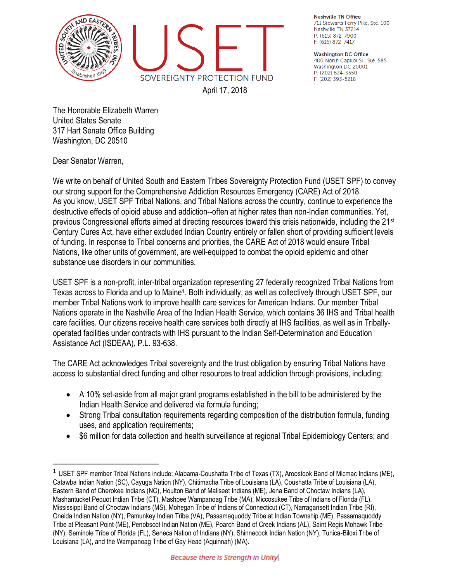

**Nashville TN Office** 711 Stewarts Ferry Pike, Ste. 100 Nashville TN 37214 P: (615) 872-7900 F: (615) 872-7417

**Washington DC Office** 400 North Capitol St., Ste. 585 Washington DC 20001 P: (202) 624-3550 F: (202) 393-5218

The Honorable Elizabeth Warren United States Senate 317 Hart Senate Office Building Washington, DC 20510

Dear Senator Warren,

 $\overline{\phantom{a}}$ 

We write on behalf of United South and Eastern Tribes Sovereignty Protection Fund (USET SPF) to convey our strong support for the Comprehensive Addiction Resources Emergency (CARE) Act of 2018. As you know, USET SPF Tribal Nations, and Tribal Nations across the country, continue to experience the destructive effects of opioid abuse and addiction--often at higher rates than non-Indian communities. Yet, previous Congressional efforts aimed at directing resources toward this crisis nationwide, including the 21<sup>st</sup> Century Cures Act, have either excluded Indian Country entirely or fallen short of providing sufficient levels of funding. In response to Tribal concerns and priorities, the CARE Act of 2018 would ensure Tribal Nations, like other units of government, are well-equipped to combat the opioid epidemic and other substance use disorders in our communities.

USET SPF is a non-profit, inter-tribal organization representing 27 federally recognized Tribal Nations from Texas across to Florida and up to Maine<sup>1</sup>. Both individually, as well as collectively through USET SPF, our member Tribal Nations work to improve health care services for American Indians. Our member Tribal Nations operate in the Nashville Area of the Indian Health Service, which contains 36 IHS and Tribal health care facilities. Our citizens receive health care services both directly at IHS facilities, as well as in Triballyoperated facilities under contracts with IHS pursuant to the Indian Self-Determination and Education Assistance Act (ISDEAA), P.L. 93-638.

The CARE Act acknowledges Tribal sovereignty and the trust obligation by ensuring Tribal Nations have access to substantial direct funding and other resources to treat addiction through provisions, including:

- A 10% set-aside from all major grant programs established in the bill to be administered by the Indian Health Service and delivered via formula funding;
- Strong Tribal consultation requirements regarding composition of the distribution formula, funding uses, and application requirements;
- \$6 million for data collection and health surveillance at regional Tribal Epidemiology Centers; and

<sup>&</sup>lt;sup>1</sup> USET SPF member Tribal Nations include: Alabama-Coushatta Tribe of Texas (TX), Aroostook Band of Micmac Indians (ME), Catawba Indian Nation (SC), Cayuga Nation (NY), Chitimacha Tribe of Louisiana (LA), Coushatta Tribe of Louisiana (LA), Eastern Band of Cherokee Indians (NC), Houlton Band of Maliseet Indians (ME), Jena Band of Choctaw Indians (LA), Mashantucket Pequot Indian Tribe (CT), Mashpee Wampanoag Tribe (MA), Miccosukee Tribe of Indians of Florida (FL), Mississippi Band of Choctaw Indians (MS), Mohegan Tribe of Indians of Connecticut (CT), Narragansett Indian Tribe (RI), Oneida Indian Nation (NY), Pamunkey Indian Tribe (VA), Passamaquoddy Tribe at Indian Township (ME), Passamaquoddy Tribe at Pleasant Point (ME), Penobscot Indian Nation (ME), Poarch Band of Creek Indians (AL), Saint Regis Mohawk Tribe (NY), Seminole Tribe of Florida (FL), Seneca Nation of Indians (NY), Shinnecock Indian Nation (NY), Tunica-Biloxi Tribe of Louisiana (LA), and the Wampanoag Tribe of Gay Head (Aquinnah) (MA).